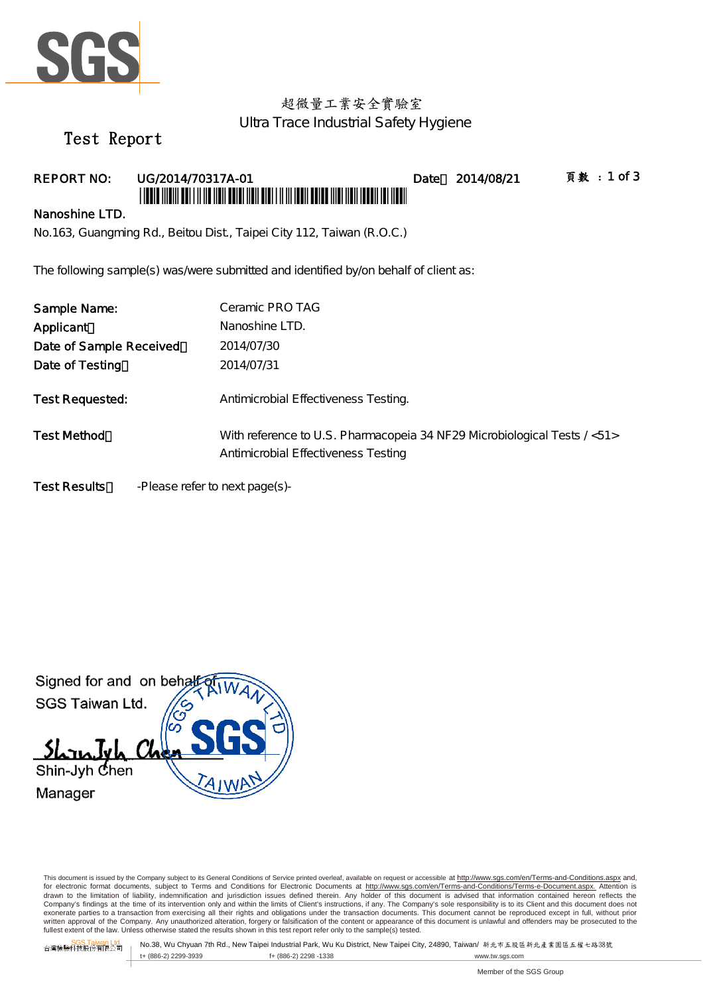

# 超微量工業安全實驗室 Ultra Trace Industrial Safety Hygiene

# Test Report

## REPORT NO: UG/2014/70317A-01 Date 2014/08/21 頁數:1 of 3 \*UGUA MAMALADI INDIA MUN DUNI MUN DI MAMALADI IN

#### Nanoshine LTD.

No.163, Guangming Rd., Beitou Dist., Taipei City 112, Taiwan (R.O.C.)

The following sample(s) was/were submitted and identified by/on behalf of client as:

| Sample Name:            | Ceramic PRO TAG                                                                                                 |
|-------------------------|-----------------------------------------------------------------------------------------------------------------|
| Applicant               | Nanoshine LTD.                                                                                                  |
| Date of Sample Received | 2014/07/30                                                                                                      |
| Date of Testing         | 2014/07/31                                                                                                      |
| <b>Test Requested:</b>  | Antimicrobial Effectiveness Testing.                                                                            |
| <b>Test Method</b>      | With reference to U.S. Pharmacopeia 34 NF29 Microbiological Tests / <51><br>Antimicrobial Effectiveness Testing |
| Test Results            | -Please refer to next page(s)-                                                                                  |



This document is issued by the Company subject to its General Conditions of Service printed overleaf, available on request or accessible at http://www.sgs.com/en/Terms-and-Conditions.aspx and, for electronic format documents, subject to Terms and Conditions for Electronic Documents at <u>http://www.sgs.com/en/Terms-and-Conditions/Terms-e-Document.aspx.</u> Attention is<br>drawn to the limitation of liability, indemnific Company's findings at the time of its intervention only and within the limits of Client's instructions, if any. The Company's sole responsibility is to its Client and this document does not exonerate parties to a transaction from exercising all their rights and obligations under the transaction documents. This document cannot be reproduced except in full, without prior written approval of the Company. Any unauthorized alteration, forgery or falsification of the content or appearance of this document is unlawful and offenders may be prosecuted to the fullest extent of the law. Unless otherwise stated the results shown in this test report refer only to the sample(s) tested.

f+ (886-2) 2298 -1338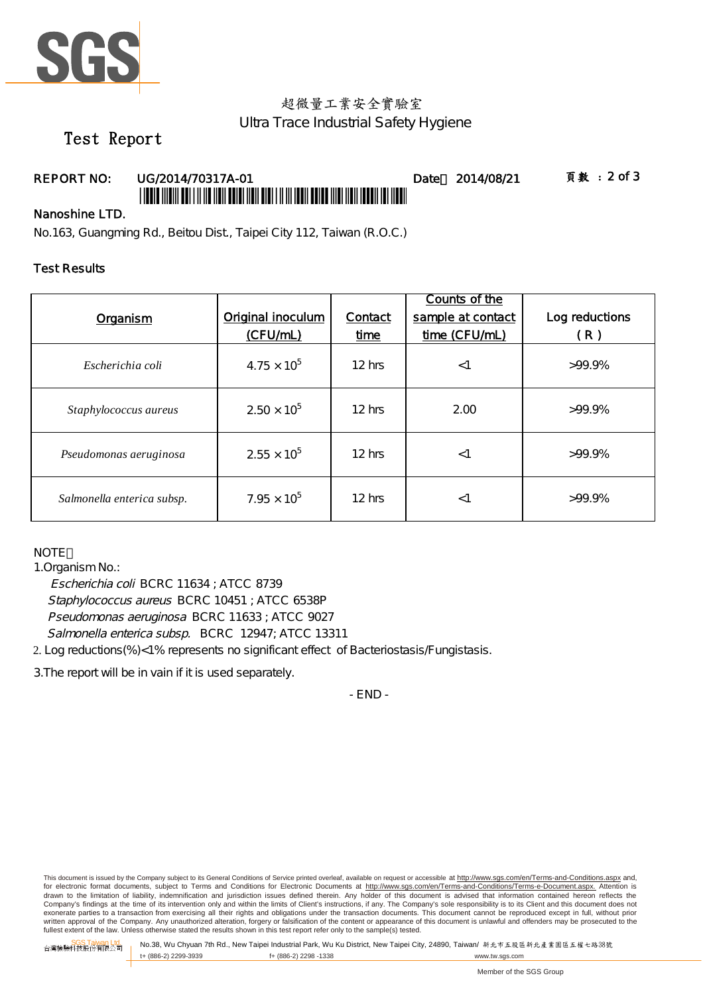

## 超微量工業安全實驗室 Ultra Trace Industrial Safety Hygiene

# Test Report

### REPORT NO: UG/2014/70317A-01 Date 2014/08/21 頁數: 2 of 3 \*UGUN 11011 AUT 11110 11011 AUTO 11011 AUG 11111 AUG 1201 AUG 1101 110

### Nanoshine LTD.

No.163, Guangming Rd., Beitou Dist., Taipei City 112, Taiwan (R.O.C.)

### Test Results

| Organism                   | Original inoculum<br>(CFU/mL) | Contact<br>time | Counts of the<br>sample at contact<br>time (CFU/mL) | Log reductions<br>(R) |
|----------------------------|-------------------------------|-----------------|-----------------------------------------------------|-----------------------|
| Escherichia coli           | $4.75 \times 10^{5}$          | $12$ hrs        | $<$ 1                                               | $>99.9\%$             |
| Staphylococcus aureus      | $2.50 \times 10^{5}$          | 12 hrs          | 2.00                                                | $>99.9\%$             |
| Pseudomonas aeruginosa     | $2.55 \times 10^{5}$          | $12$ hrs        | $<$ 1                                               | $>99.9\%$             |
| Salmonella enterica subsp. | $7.95 \times 10^{5}$          | $12$ hrs        | $<$ 1                                               | $>99.9\%$             |

**NOTE** 

1.Organism No.:

Escherichia coli BCRC 11634 ; ATCC 8739 Staphylococcus aureus BCRC 10451 ; ATCC 6538P Pseudomonas aeruginosa BCRC 11633 ; ATCC 9027 Salmonella enterica subsp. BCRC 12947; ATCC 13311

2. Log reductions(%)<1% represents no significant effect of Bacteriostasis/Fungistasis.

3.The report will be in vain if it is used separately.

- END -

This document is issued by the Company subject to its General Conditions of Service printed overleaf, available on request or accessible at http://www.sgs.com/en/Terms-and-Conditions.aspx and, for electronic format documents, subject to Terms and Conditions for Electronic Documents at <u>http://www.sgs.com/en/Terms-and-Conditions/Terms-e-Document.aspx.</u> Attention is<br>drawn to the limitation of liability, indemnific Company's findings at the time of its intervention only and within the limits of Client's instructions, if any. The Company's sole responsibility is to its Client and this document does not exonerate parties to a transaction from exercising all their rights and obligations under the transaction documents. This document cannot be reproduced except in full, without prior written approval of the Company. Any unauthorized alteration, forgery or falsification of the content or appearance of this document is unlawful and offenders may be prosecuted to the fullest extent of the law. Unless otherwise stated the results shown in this test report refer only to the sample(s) tested.